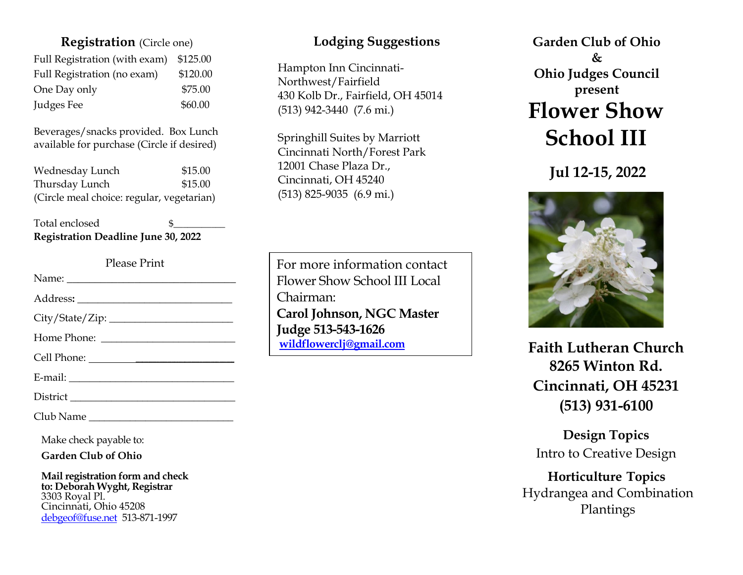## **Registration** (Circle one)

| Full Registration (with exam) | \$125.00 |
|-------------------------------|----------|
| Full Registration (no exam)   | \$120.00 |
| One Day only                  | \$75.00  |
| Judges Fee                    | \$60.00  |

Beverages/snacks provided. Box Lunch available for purchase (Circle if desired)

| Wednesday Lunch                           | \$15.00 |
|-------------------------------------------|---------|
| Thursday Lunch                            | \$15.00 |
| (Circle meal choice: regular, vegetarian) |         |

### Total enclosed **Registration Deadline June 30, 2022**

Please Print

Club Name \_\_\_\_\_\_\_\_\_\_\_\_\_\_\_\_\_\_\_\_\_\_\_\_\_\_\_\_

Make check payable to:

**Garden Club of Ohio**

**Mail registration form and check to: Deborah Wyght, Registrar** 3303 Royal Pl. Cincinnati, Ohio 45208 [debgeof@fuse.net](mailto:debgeof@fuse.net) 513-871-1997

## **Lodging Suggestions**

Hampton Inn Cincinnati-Northwest/Fairfield 430 Kolb Dr., Fairfield, OH 45014 [\(513\) 942-3440](https://www.google.com/search?gs_ssp=eJwNwsENgzAMAEDxLUvk0w8f4ipELiN0i4DtYlEMopZgfDjdo26_LbhAnnGJVf-MJ2KKiemFmcbUgfTxhDdzR8CSByxA_Gmmsmy-WlCzMKrdrbgGW3efDv57kKK7KP_oAm3HH4c&q=hampton+inn+cincinnati+northwest+fairfield&rlz=1C1GCEA_enUS784US784&oq=Hampton+Inn+Cincinn&aqs=chrome.4.0i512l2j46i175i199i512l7.8272j0j7&sourceid=chrome&ie=UTF-8) (7.6 mi.)

Springhill Suites by Marriott Cincinnati North/Forest Park 12001 Chase Plaza Dr., Cincinnati, OH 45240 [\(513\) 825-9035](https://www.google.com/search?gs_ssp=eJwNwksKgCAQAFDa1iXctM2ptLQjdIlQ-w2Jhk7Q8evxyoofvKV1kIv1UEw1vEoJELqX2rpeGbFP8LZSuU6DHi0MQq52bvKdMBwnes_yg7Rl5jD8gyFkISY6-R7TlondJl0fwCQgMg&q=springhill+suites+cincinnati+north%2Fforest+park&rlz=1C1GCEA_enUS784US784&oq=Springhill+Suites+Cincinnati+&aqs=chrome.2.69i57j46i39i175i199j46i175i199i512l3j69i60l3.14549j0j7&sourceid=chrome&ie=UTF-8) (6.9 mi.)

For more information contact Flower Show School III Local Chairman: **Carol Johnson, NGC Master Judge 513-543-1626 [wildflowerclj@gmail.com](mailto:wildflowerclj@gmail.com)**

**Garden Club of Ohio & Ohio Judges Council present Flower Show School III**

**Jul 12-15, 2022**



**Faith Lutheran Church 8265 Winton Rd. Cincinnati, OH 45231 (513) 931-6100**

**Design Topics** Intro to Creative Design

## **Horticulture Topics** Hydrangea and Combination Plantings